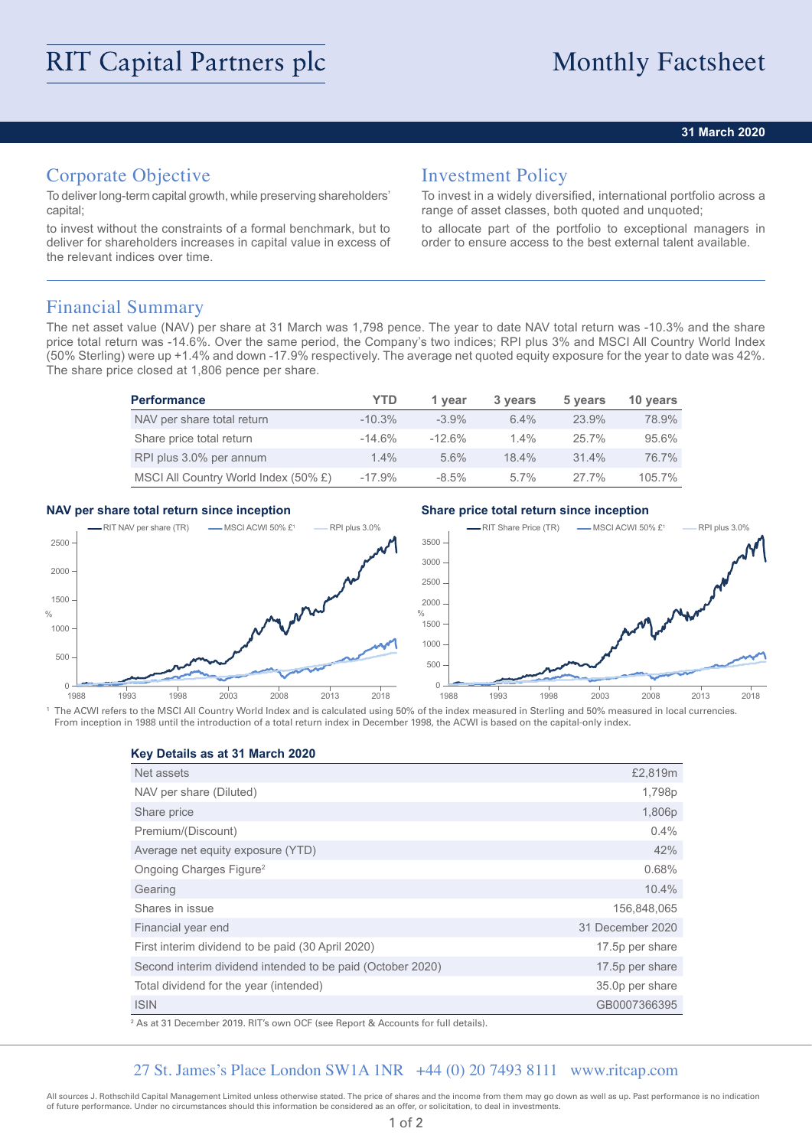### **31 March 2020**

# Corporate Objective

To deliver long-term capital growth, while preserving shareholders' capital;

to invest without the constraints of a formal benchmark, but to deliver for shareholders increases in capital value in excess of the relevant indices over time.

## Investment Policy

To invest in a widely diversified, international portfolio across a range of asset classes, both quoted and unquoted;

to allocate part of the portfolio to exceptional managers in order to ensure access to the best external talent available.

## Financial Summary

The net asset value (NAV) per share at 31 March was 1,798 pence. The year to date NAV total return was -10.3% and the share price total return was -14.6%. Over the same period, the Company's two indices; RPI plus 3% and MSCI All Country World Index (50% Sterling) were up +1.4% and down -17.9% respectively. The average net quoted equity exposure for the year to date was 42%. The share price closed at 1,806 pence per share.

| <b>Performance</b>                   | YTD       | 1 vear   | 3 years | 5 years  | 10 years |
|--------------------------------------|-----------|----------|---------|----------|----------|
| NAV per share total return           | $-10.3\%$ | $-3.9\%$ | 6.4%    | 23.9%    | 78.9%    |
| Share price total return             | $-14.6%$  | $-12.6%$ | $1.4\%$ | $25.7\%$ | 95.6%    |
| RPI plus 3.0% per annum              | $1.4\%$   | 5.6%     | 18.4%   | 31.4%    | 76.7%    |
| MSCI All Country World Index (50% £) | $-17.9%$  | $-8.5\%$ | $5.7\%$ | $27.7\%$ | 105.7%   |

### **NAV per share total return since inception Share price total return since inception**



<sup>1</sup> The ACWI refers to the MSCI All Country World Index and is calculated using 50% of the index measured in Sterling and 50% measured in local currencies. From inception in 1988 until the introduction of a total return index in December 1998, the ACWI is based on the capital-only index.

**Key Details as at 31 March 2020**

| Net assets                                                 | £2,819m          |
|------------------------------------------------------------|------------------|
| NAV per share (Diluted)                                    | 1,798p           |
| Share price                                                | 1,806p           |
| Premium/(Discount)                                         | 0.4%             |
| Average net equity exposure (YTD)                          | 42%              |
| Ongoing Charges Figure <sup>2</sup>                        | 0.68%            |
| Gearing                                                    | 10.4%            |
| Shares in issue                                            | 156,848,065      |
| Financial year end                                         | 31 December 2020 |
| First interim dividend to be paid (30 April 2020)          | 17.5p per share  |
| Second interim dividend intended to be paid (October 2020) | 17.5p per share  |
| Total dividend for the year (intended)                     | 35.0p per share  |
| <b>ISIN</b>                                                | GB0007366395     |

2 As at 31 December 2019. RIT's own OCF (see Report & Accounts for full details).

## 27 St. James's Place London SW1A 1NR +44 (0) 20 7493 8111 www.ritcap.com

All sources J. Rothschild Capital Management Limited unless otherwise stated. The price of shares and the income from them may go down as well as up. Past performance is no indication of future performance. Under no circumstances should this information be considered as an offer, or solicitation, to deal in investments.